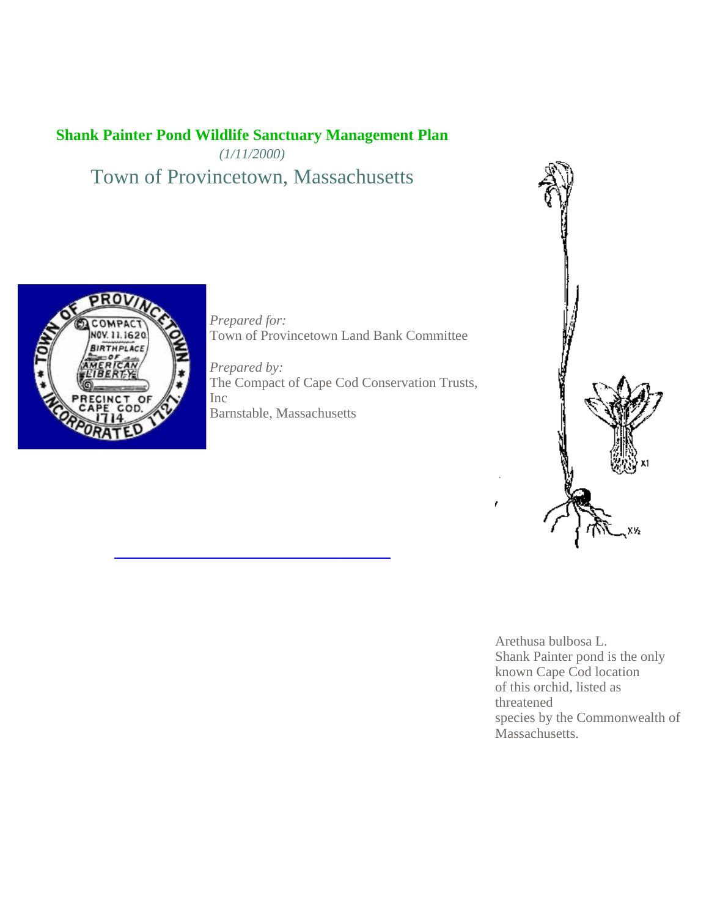# **Shank Painter Pond Wildlife Sanctuary Management Plan**

*(1/11/2000)*

Town of Provincetown, Massachusetts



*Prepared for:* Town of Provincetown Land Bank Committee

*Prepared by:* The Compact of Cape Cod Conservation Trusts, Inc Barnstable, Massachusetts



Arethusa bulbosa L. Shank Painter pond is the only known Cape Cod location of this orchid, listed as threatened species by the Commonwealth of Massachusetts.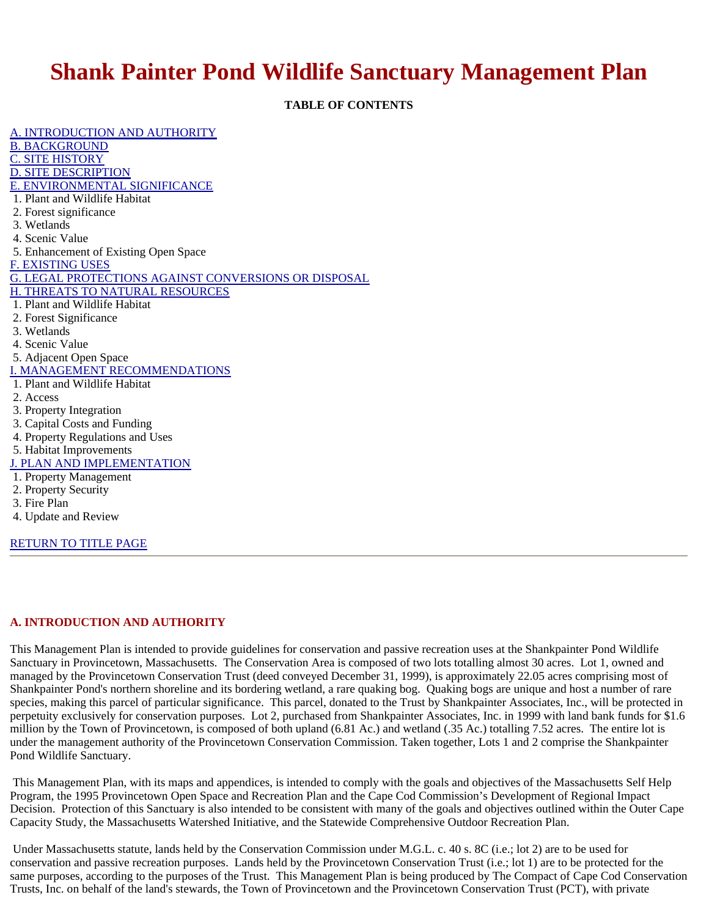# **Shank Painter Pond Wildlife Sanctuary Management Plan**

**TABLE OF CONTENTS**

A. INTRODUCTION AND AUTHORITY B. BACKGROUND C. SITE HISTORY D. SITE DESCRIPTION E. ENVIRONMENTAL SIGNIFICANCE 1. Plant and Wildlife Habitat 2. Forest significance 3. Wetlands 4. Scenic Value 5. Enhancement of Existing Open Space F. EXISTING USES G. LEGAL PROTECTIONS AGAINST CONVERSIONS OR DISPOSAL H. THREATS TO NATURAL RESOURCES 1. Plant and Wildlife Habitat 2. Forest Significance 3. Wetlands 4. Scenic Value 5. Adjacent Open Space I. MANAGEMENT RECOMMENDATIONS 1. Plant and Wildlife Habitat 2. Access 3. Property Integration 3. Capital Costs and Funding 4. Property Regulations and Uses 5. Habitat Improvements J. PLAN AND IMPLEMENTATION 1. Property Management 2. Property Security 3. Fire Plan 4. Update and Review

RETURN TO TITLE PAGE

### **A. INTRODUCTION AND AUTHORITY**

This Management Plan is intended to provide guidelines for conservation and passive recreation uses at the Shankpainter Pond Wildlife Sanctuary in Provincetown, Massachusetts. The Conservation Area is composed of two lots totalling almost 30 acres. Lot 1, owned and managed by the Provincetown Conservation Trust (deed conveyed December 31, 1999), is approximately 22.05 acres comprising most of Shankpainter Pond's northern shoreline and its bordering wetland, a rare quaking bog. Quaking bogs are unique and host a number of rare species, making this parcel of particular significance. This parcel, donated to the Trust by Shankpainter Associates, Inc., will be protected in perpetuity exclusively for conservation purposes. Lot 2, purchased from Shankpainter Associates, Inc. in 1999 with land bank funds for \$1.6 million by the Town of Provincetown, is composed of both upland (6.81 Ac.) and wetland (.35 Ac.) totalling 7.52 acres. The entire lot is under the management authority of the Provincetown Conservation Commission. Taken together, Lots 1 and 2 comprise the Shankpainter Pond Wildlife Sanctuary.

 This Management Plan, with its maps and appendices, is intended to comply with the goals and objectives of the Massachusetts Self Help Program, the 1995 Provincetown Open Space and Recreation Plan and the Cape Cod Commission's Development of Regional Impact Decision. Protection of this Sanctuary is also intended to be consistent with many of the goals and objectives outlined within the Outer Cape Capacity Study, the Massachusetts Watershed Initiative, and the Statewide Comprehensive Outdoor Recreation Plan.

 Under Massachusetts statute, lands held by the Conservation Commission under M.G.L. c. 40 s. 8C (i.e.; lot 2) are to be used for conservation and passive recreation purposes. Lands held by the Provincetown Conservation Trust (i.e.; lot 1) are to be protected for the same purposes, according to the purposes of the Trust. This Management Plan is being produced by The Compact of Cape Cod Conservation Trusts, Inc. on behalf of the land's stewards, the Town of Provincetown and the Provincetown Conservation Trust (PCT), with private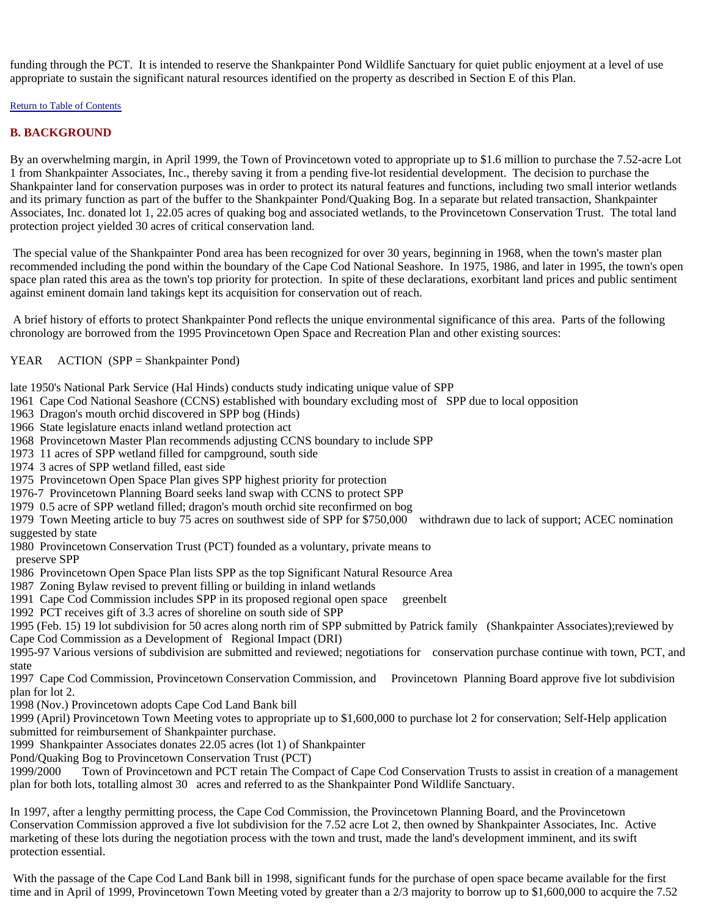funding through the PCT. It is intended to reserve the Shankpainter Pond Wildlife Sanctuary for quiet public enjoyment at a level of use appropriate to sustain the significant natural resources identified on the property as described in Section E of this Plan.

Return to Table of Contents

### **B. BACKGROUND**

By an overwhelming margin, in April 1999, the Town of Provincetown voted to appropriate up to \$1.6 million to purchase the 7.52-acre Lot 1 from Shankpainter Associates, Inc., thereby saving it from a pending five-lot residential development. The decision to purchase the Shankpainter land for conservation purposes was in order to protect its natural features and functions, including two small interior wetlands and its primary function as part of the buffer to the Shankpainter Pond/Quaking Bog. In a separate but related transaction, Shankpainter Associates, Inc. donated lot 1, 22.05 acres of quaking bog and associated wetlands, to the Provincetown Conservation Trust. The total land protection project yielded 30 acres of critical conservation land.

 The special value of the Shankpainter Pond area has been recognized for over 30 years, beginning in 1968, when the town's master plan recommended including the pond within the boundary of the Cape Cod National Seashore. In 1975, 1986, and later in 1995, the town's open space plan rated this area as the town's top priority for protection. In spite of these declarations, exorbitant land prices and public sentiment against eminent domain land takings kept its acquisition for conservation out of reach.

 A brief history of efforts to protect Shankpainter Pond reflects the unique environmental significance of this area. Parts of the following chronology are borrowed from the 1995 Provincetown Open Space and Recreation Plan and other existing sources:

### YEAR ACTION (SPP = Shankpainter Pond)

late 1950's National Park Service (Hal Hinds) conducts study indicating unique value of SPP

- 1961 Cape Cod National Seashore (CCNS) established with boundary excluding most of SPP due to local opposition
- 1963 Dragon's mouth orchid discovered in SPP bog (Hinds)
- 1966 State legislature enacts inland wetland protection act
- 1968 Provincetown Master Plan recommends adjusting CCNS boundary to include SPP
- 1973 11 acres of SPP wetland filled for campground, south side
- 1974 3 acres of SPP wetland filled, east side
- 1975 Provincetown Open Space Plan gives SPP highest priority for protection
- 1976-7 Provincetown Planning Board seeks land swap with CCNS to protect SPP
- 1979 0.5 acre of SPP wetland filled; dragon's mouth orchid site reconfirmed on bog

1979 Town Meeting article to buy 75 acres on southwest side of SPP for \$750,000 withdrawn due to lack of support; ACEC nomination suggested by state

- 1980 Provincetown Conservation Trust (PCT) founded as a voluntary, private means to preserve SPP
- 1986 Provincetown Open Space Plan lists SPP as the top Significant Natural Resource Area
- 1987 Zoning Bylaw revised to prevent filling or building in inland wetlands
- 1991 Cape Cod Commission includes SPP in its proposed regional open space greenbelt
- 1992 PCT receives gift of 3.3 acres of shoreline on south side of SPP

1995 (Feb. 15) 19 lot subdivision for 50 acres along north rim of SPP submitted by Patrick family (Shankpainter Associates);reviewed by Cape Cod Commission as a Development of Regional Impact (DRI)

1995-97 Various versions of subdivision are submitted and reviewed; negotiations for conservation purchase continue with town, PCT, and state

1997 Cape Cod Commission, Provincetown Conservation Commission, and Provincetown Planning Board approve five lot subdivision plan for lot 2.

1998 (Nov.) Provincetown adopts Cape Cod Land Bank bill

1999 (April) Provincetown Town Meeting votes to appropriate up to \$1,600,000 to purchase lot 2 for conservation; Self-Help application submitted for reimbursement of Shankpainter purchase.

1999 Shankpainter Associates donates 22.05 acres (lot 1) of Shankpainter

Pond/Quaking Bog to Provincetown Conservation Trust (PCT)

1999/2000 Town of Provincetown and PCT retain The Compact of Cape Cod Conservation Trusts to assist in creation of a management plan for both lots, totalling almost 30 acres and referred to as the Shankpainter Pond Wildlife Sanctuary.

In 1997, after a lengthy permitting process, the Cape Cod Commission, the Provincetown Planning Board, and the Provincetown Conservation Commission approved a five lot subdivision for the 7.52 acre Lot 2, then owned by Shankpainter Associates, Inc. Active marketing of these lots during the negotiation process with the town and trust, made the land's development imminent, and its swift protection essential.

 With the passage of the Cape Cod Land Bank bill in 1998, significant funds for the purchase of open space became available for the first time and in April of 1999, Provincetown Town Meeting voted by greater than a 2/3 majority to borrow up to \$1,600,000 to acquire the 7.52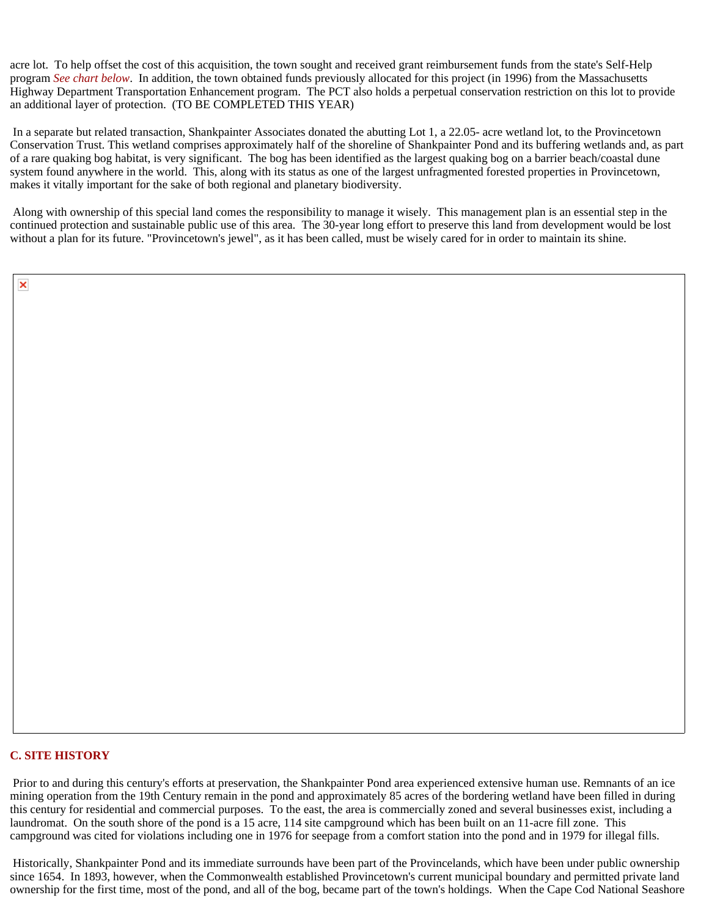acre lot. To help offset the cost of this acquisition, the town sought and received grant reimbursement funds from the state's Self-Help program *See chart below*. In addition, the town obtained funds previously allocated for this project (in 1996) from the Massachusetts Highway Department Transportation Enhancement program. The PCT also holds a perpetual conservation restriction on this lot to provide an additional layer of protection. (TO BE COMPLETED THIS YEAR)

 In a separate but related transaction, Shankpainter Associates donated the abutting Lot 1, a 22.05- acre wetland lot, to the Provincetown Conservation Trust. This wetland comprises approximately half of the shoreline of Shankpainter Pond and its buffering wetlands and, as part of a rare quaking bog habitat, is very significant. The bog has been identified as the largest quaking bog on a barrier beach/coastal dune system found anywhere in the world. This, along with its status as one of the largest unfragmented forested properties in Provincetown, makes it vitally important for the sake of both regional and planetary biodiversity.

 Along with ownership of this special land comes the responsibility to manage it wisely. This management plan is an essential step in the continued protection and sustainable public use of this area. The 30-year long effort to preserve this land from development would be lost without a plan for its future. "Provincetown's jewel", as it has been called, must be wisely cared for in order to maintain its shine.

### **C. SITE HISTORY**

 Prior to and during this century's efforts at preservation, the Shankpainter Pond area experienced extensive human use. Remnants of an ice mining operation from the 19th Century remain in the pond and approximately 85 acres of the bordering wetland have been filled in during this century for residential and commercial purposes. To the east, the area is commercially zoned and several businesses exist, including a laundromat. On the south shore of the pond is a 15 acre, 114 site campground which has been built on an 11-acre fill zone. This campground was cited for violations including one in 1976 for seepage from a comfort station into the pond and in 1979 for illegal fills.

 Historically, Shankpainter Pond and its immediate surrounds have been part of the Provincelands, which have been under public ownership since 1654. In 1893, however, when the Commonwealth established Provincetown's current municipal boundary and permitted private land ownership for the first time, most of the pond, and all of the bog, became part of the town's holdings. When the Cape Cod National Seashore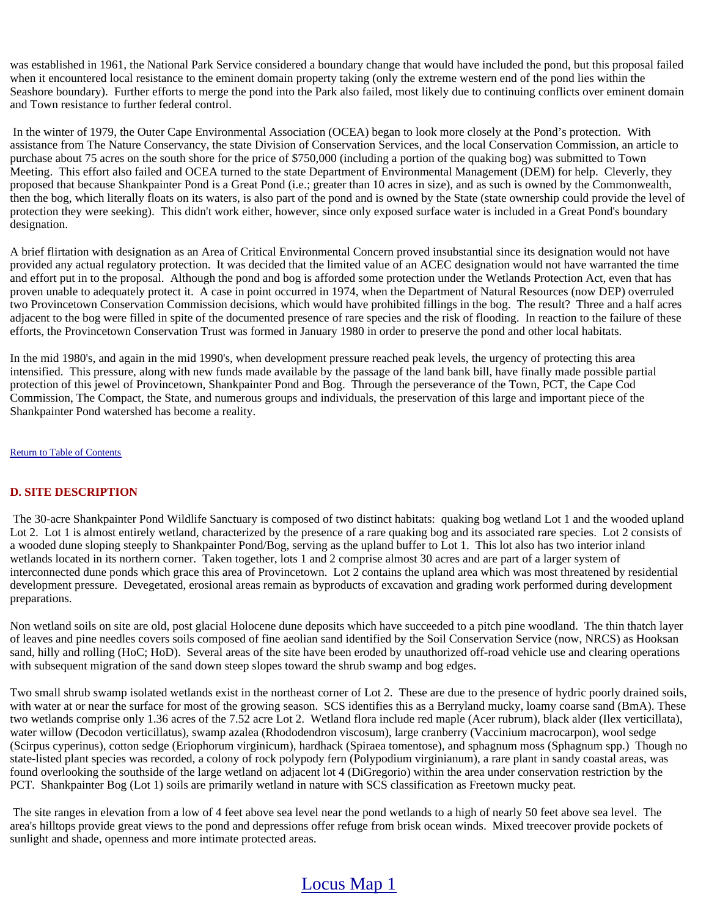was established in 1961, the National Park Service considered a boundary change that would have included the pond, but this proposal failed when it encountered local resistance to the eminent domain property taking (only the extreme western end of the pond lies within the Seashore boundary). Further efforts to merge the pond into the Park also failed, most likely due to continuing conflicts over eminent domain and Town resistance to further federal control.

 In the winter of 1979, the Outer Cape Environmental Association (OCEA) began to look more closely at the Pond's protection. With assistance from The Nature Conservancy, the state Division of Conservation Services, and the local Conservation Commission, an article to purchase about 75 acres on the south shore for the price of \$750,000 (including a portion of the quaking bog) was submitted to Town Meeting. This effort also failed and OCEA turned to the state Department of Environmental Management (DEM) for help. Cleverly, they proposed that because Shankpainter Pond is a Great Pond (i.e.; greater than 10 acres in size), and as such is owned by the Commonwealth, then the bog, which literally floats on its waters, is also part of the pond and is owned by the State (state ownership could provide the level of protection they were seeking). This didn't work either, however, since only exposed surface water is included in a Great Pond's boundary designation.

A brief flirtation with designation as an Area of Critical Environmental Concern proved insubstantial since its designation would not have provided any actual regulatory protection. It was decided that the limited value of an ACEC designation would not have warranted the time and effort put in to the proposal. Although the pond and bog is afforded some protection under the Wetlands Protection Act, even that has proven unable to adequately protect it. A case in point occurred in 1974, when the Department of Natural Resources (now DEP) overruled two Provincetown Conservation Commission decisions, which would have prohibited fillings in the bog. The result? Three and a half acres adjacent to the bog were filled in spite of the documented presence of rare species and the risk of flooding. In reaction to the failure of these efforts, the Provincetown Conservation Trust was formed in January 1980 in order to preserve the pond and other local habitats.

In the mid 1980's, and again in the mid 1990's, when development pressure reached peak levels, the urgency of protecting this area intensified. This pressure, along with new funds made available by the passage of the land bank bill, have finally made possible partial protection of this jewel of Provincetown, Shankpainter Pond and Bog. Through the perseverance of the Town, PCT, the Cape Cod Commission, The Compact, the State, and numerous groups and individuals, the preservation of this large and important piece of the Shankpainter Pond watershed has become a reality.

Return to Table of Contents

### **D. SITE DESCRIPTION**

 The 30-acre Shankpainter Pond Wildlife Sanctuary is composed of two distinct habitats: quaking bog wetland Lot 1 and the wooded upland Lot 2. Lot 1 is almost entirely wetland, characterized by the presence of a rare quaking bog and its associated rare species. Lot 2 consists of a wooded dune sloping steeply to Shankpainter Pond/Bog, serving as the upland buffer to Lot 1. This lot also has two interior inland wetlands located in its northern corner. Taken together, lots 1 and 2 comprise almost 30 acres and are part of a larger system of interconnected dune ponds which grace this area of Provincetown. Lot 2 contains the upland area which was most threatened by residential development pressure. Devegetated, erosional areas remain as byproducts of excavation and grading work performed during development preparations.

Non wetland soils on site are old, post glacial Holocene dune deposits which have succeeded to a pitch pine woodland. The thin thatch layer of leaves and pine needles covers soils composed of fine aeolian sand identified by the Soil Conservation Service (now, NRCS) as Hooksan sand, hilly and rolling (HoC; HoD). Several areas of the site have been eroded by unauthorized off-road vehicle use and clearing operations with subsequent migration of the sand down steep slopes toward the shrub swamp and bog edges.

Two small shrub swamp isolated wetlands exist in the northeast corner of Lot 2. These are due to the presence of hydric poorly drained soils, with water at or near the surface for most of the growing season. SCS identifies this as a Berryland mucky, loamy coarse sand (BmA). These two wetlands comprise only 1.36 acres of the 7.52 acre Lot 2. Wetland flora include red maple (Acer rubrum), black alder (Ilex verticillata), water willow (Decodon verticillatus), swamp azalea (Rhododendron viscosum), large cranberry (Vaccinium macrocarpon), wool sedge (Scirpus cyperinus), cotton sedge (Eriophorum virginicum), hardhack (Spiraea tomentose), and sphagnum moss (Sphagnum spp.) Though no state-listed plant species was recorded, a colony of rock polypody fern (Polypodium virginianum), a rare plant in sandy coastal areas, was found overlooking the southside of the large wetland on adjacent lot 4 (DiGregorio) within the area under conservation restriction by the PCT. Shankpainter Bog (Lot 1) soils are primarily wetland in nature with SCS classification as Freetown mucky peat.

 The site ranges in elevation from a low of 4 feet above sea level near the pond wetlands to a high of nearly 50 feet above sea level. The area's hilltops provide great views to the pond and depressions offer refuge from brisk ocean winds. Mixed treecover provide pockets of sunlight and shade, openness and more intimate protected areas.

### Locus Map 1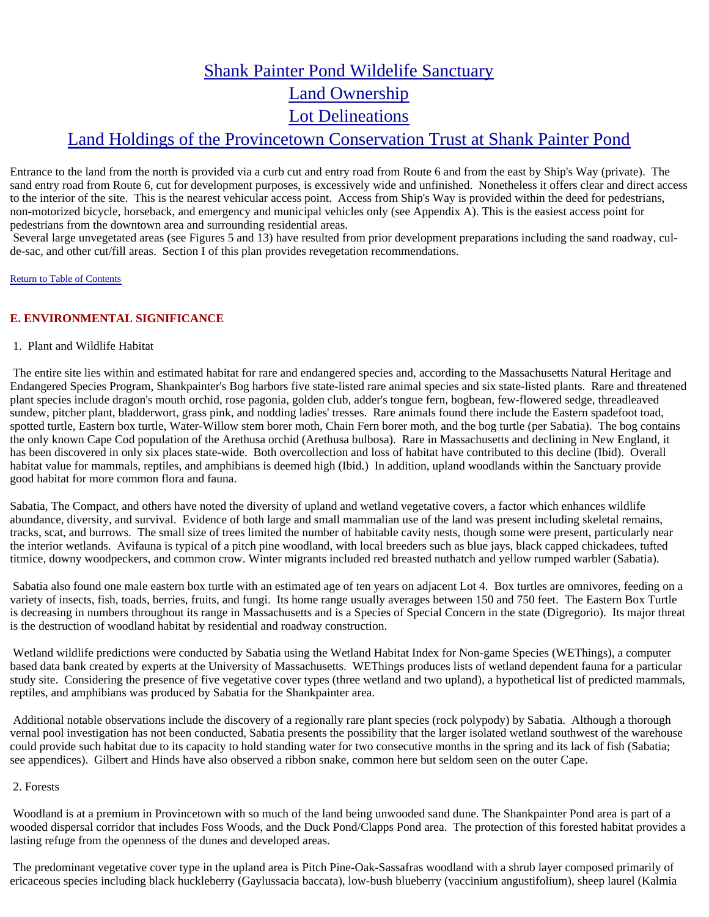# Shank Painter Pond Wildelife Sanctuary Land Ownership Lot Delineations Land Holdings of the Provincetown Conservation Trust at Shank Painter Pond

Entrance to the land from the north is provided via a curb cut and entry road from Route 6 and from the east by Ship's Way (private). The sand entry road from Route 6, cut for development purposes, is excessively wide and unfinished. Nonetheless it offers clear and direct access to the interior of the site. This is the nearest vehicular access point. Access from Ship's Way is provided within the deed for pedestrians, non-motorized bicycle, horseback, and emergency and municipal vehicles only (see Appendix A). This is the easiest access point for pedestrians from the downtown area and surrounding residential areas.

 Several large unvegetated areas (see Figures 5 and 13) have resulted from prior development preparations including the sand roadway, culde-sac, and other cut/fill areas. Section I of this plan provides revegetation recommendations.

### Return to Table of Contents

### **E. ENVIRONMENTAL SIGNIFICANCE**

### 1. Plant and Wildlife Habitat

 The entire site lies within and estimated habitat for rare and endangered species and, according to the Massachusetts Natural Heritage and Endangered Species Program, Shankpainter's Bog harbors five state-listed rare animal species and six state-listed plants. Rare and threatened plant species include dragon's mouth orchid, rose pagonia, golden club, adder's tongue fern, bogbean, few-flowered sedge, threadleaved sundew, pitcher plant, bladderwort, grass pink, and nodding ladies' tresses. Rare animals found there include the Eastern spadefoot toad, spotted turtle, Eastern box turtle, Water-Willow stem borer moth, Chain Fern borer moth, and the bog turtle (per Sabatia). The bog contains the only known Cape Cod population of the Arethusa orchid (Arethusa bulbosa). Rare in Massachusetts and declining in New England, it has been discovered in only six places state-wide. Both overcollection and loss of habitat have contributed to this decline (Ibid). Overall habitat value for mammals, reptiles, and amphibians is deemed high (Ibid.) In addition, upland woodlands within the Sanctuary provide good habitat for more common flora and fauna.

Sabatia, The Compact, and others have noted the diversity of upland and wetland vegetative covers, a factor which enhances wildlife abundance, diversity, and survival. Evidence of both large and small mammalian use of the land was present including skeletal remains, tracks, scat, and burrows. The small size of trees limited the number of habitable cavity nests, though some were present, particularly near the interior wetlands. Avifauna is typical of a pitch pine woodland, with local breeders such as blue jays, black capped chickadees, tufted titmice, downy woodpeckers, and common crow. Winter migrants included red breasted nuthatch and yellow rumped warbler (Sabatia).

 Sabatia also found one male eastern box turtle with an estimated age of ten years on adjacent Lot 4. Box turtles are omnivores, feeding on a variety of insects, fish, toads, berries, fruits, and fungi. Its home range usually averages between 150 and 750 feet. The Eastern Box Turtle is decreasing in numbers throughout its range in Massachusetts and is a Species of Special Concern in the state (Digregorio). Its major threat is the destruction of woodland habitat by residential and roadway construction.

 Wetland wildlife predictions were conducted by Sabatia using the Wetland Habitat Index for Non-game Species (WEThings), a computer based data bank created by experts at the University of Massachusetts. WEThings produces lists of wetland dependent fauna for a particular study site. Considering the presence of five vegetative cover types (three wetland and two upland), a hypothetical list of predicted mammals, reptiles, and amphibians was produced by Sabatia for the Shankpainter area.

 Additional notable observations include the discovery of a regionally rare plant species (rock polypody) by Sabatia. Although a thorough vernal pool investigation has not been conducted, Sabatia presents the possibility that the larger isolated wetland southwest of the warehouse could provide such habitat due to its capacity to hold standing water for two consecutive months in the spring and its lack of fish (Sabatia; see appendices). Gilbert and Hinds have also observed a ribbon snake, common here but seldom seen on the outer Cape.

### 2. Forests

 Woodland is at a premium in Provincetown with so much of the land being unwooded sand dune. The Shankpainter Pond area is part of a wooded dispersal corridor that includes Foss Woods, and the Duck Pond/Clapps Pond area. The protection of this forested habitat provides a lasting refuge from the openness of the dunes and developed areas.

 The predominant vegetative cover type in the upland area is Pitch Pine-Oak-Sassafras woodland with a shrub layer composed primarily of ericaceous species including black huckleberry (Gaylussacia baccata), low-bush blueberry (vaccinium angustifolium), sheep laurel (Kalmia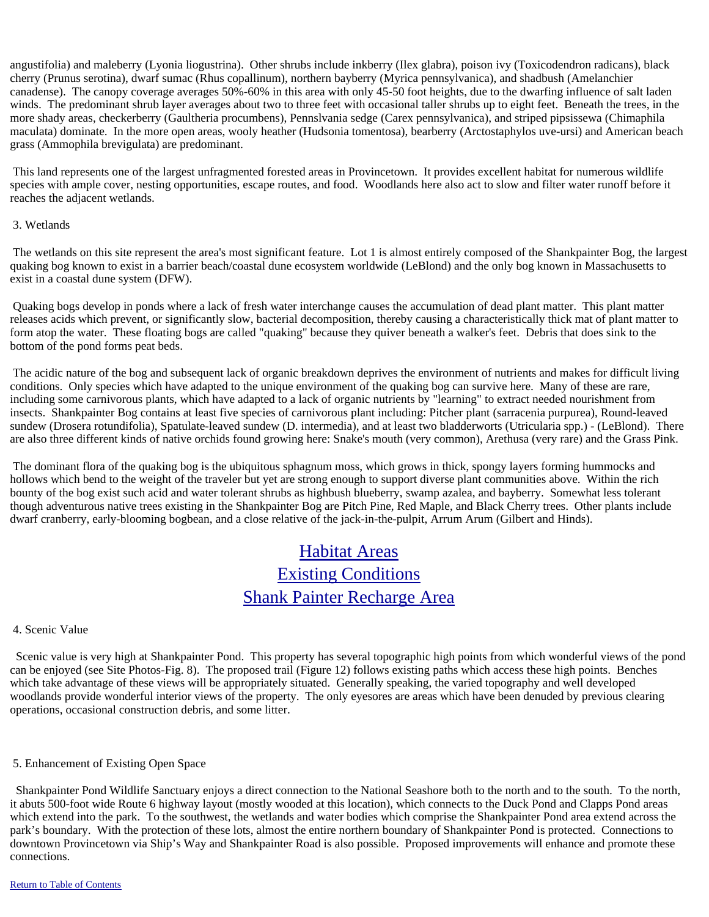angustifolia) and maleberry (Lyonia liogustrina). Other shrubs include inkberry (Ilex glabra), poison ivy (Toxicodendron radicans), black cherry (Prunus serotina), dwarf sumac (Rhus copallinum), northern bayberry (Myrica pennsylvanica), and shadbush (Amelanchier canadense). The canopy coverage averages 50%-60% in this area with only 45-50 foot heights, due to the dwarfing influence of salt laden winds. The predominant shrub layer averages about two to three feet with occasional taller shrubs up to eight feet. Beneath the trees, in the more shady areas, checkerberry (Gaultheria procumbens), Pennslvania sedge (Carex pennsylvanica), and striped pipsissewa (Chimaphila maculata) dominate. In the more open areas, wooly heather (Hudsonia tomentosa), bearberry (Arctostaphylos uve-ursi) and American beach grass (Ammophila brevigulata) are predominant.

 This land represents one of the largest unfragmented forested areas in Provincetown. It provides excellent habitat for numerous wildlife species with ample cover, nesting opportunities, escape routes, and food. Woodlands here also act to slow and filter water runoff before it reaches the adjacent wetlands.

### 3. Wetlands

 The wetlands on this site represent the area's most significant feature. Lot 1 is almost entirely composed of the Shankpainter Bog, the largest quaking bog known to exist in a barrier beach/coastal dune ecosystem worldwide (LeBlond) and the only bog known in Massachusetts to exist in a coastal dune system (DFW).

 Quaking bogs develop in ponds where a lack of fresh water interchange causes the accumulation of dead plant matter. This plant matter releases acids which prevent, or significantly slow, bacterial decomposition, thereby causing a characteristically thick mat of plant matter to form atop the water. These floating bogs are called "quaking" because they quiver beneath a walker's feet. Debris that does sink to the bottom of the pond forms peat beds.

 The acidic nature of the bog and subsequent lack of organic breakdown deprives the environment of nutrients and makes for difficult living conditions. Only species which have adapted to the unique environment of the quaking bog can survive here. Many of these are rare, including some carnivorous plants, which have adapted to a lack of organic nutrients by "learning" to extract needed nourishment from insects. Shankpainter Bog contains at least five species of carnivorous plant including: Pitcher plant (sarracenia purpurea), Round-leaved sundew (Drosera rotundifolia), Spatulate-leaved sundew (D. intermedia), and at least two bladderworts (Utricularia spp.) - (LeBlond). There are also three different kinds of native orchids found growing here: Snake's mouth (very common), Arethusa (very rare) and the Grass Pink.

 The dominant flora of the quaking bog is the ubiquitous sphagnum moss, which grows in thick, spongy layers forming hummocks and hollows which bend to the weight of the traveler but yet are strong enough to support diverse plant communities above. Within the rich bounty of the bog exist such acid and water tolerant shrubs as highbush blueberry, swamp azalea, and bayberry. Somewhat less tolerant though adventurous native trees existing in the Shankpainter Bog are Pitch Pine, Red Maple, and Black Cherry trees. Other plants include dwarf cranberry, early-blooming bogbean, and a close relative of the jack-in-the-pulpit, Arrum Arum (Gilbert and Hinds).

## Habitat Areas Existing Conditions Shank Painter Recharge Area

### 4. Scenic Value

 Scenic value is very high at Shankpainter Pond. This property has several topographic high points from which wonderful views of the pond can be enjoyed (see Site Photos-Fig. 8). The proposed trail (Figure 12) follows existing paths which access these high points. Benches which take advantage of these views will be appropriately situated. Generally speaking, the varied topography and well developed woodlands provide wonderful interior views of the property. The only eyesores are areas which have been denuded by previous clearing operations, occasional construction debris, and some litter.

### 5. Enhancement of Existing Open Space

 Shankpainter Pond Wildlife Sanctuary enjoys a direct connection to the National Seashore both to the north and to the south. To the north, it abuts 500-foot wide Route 6 highway layout (mostly wooded at this location), which connects to the Duck Pond and Clapps Pond areas which extend into the park. To the southwest, the wetlands and water bodies which comprise the Shankpainter Pond area extend across the park's boundary. With the protection of these lots, almost the entire northern boundary of Shankpainter Pond is protected. Connections to downtown Provincetown via Ship's Way and Shankpainter Road is also possible. Proposed improvements will enhance and promote these connections.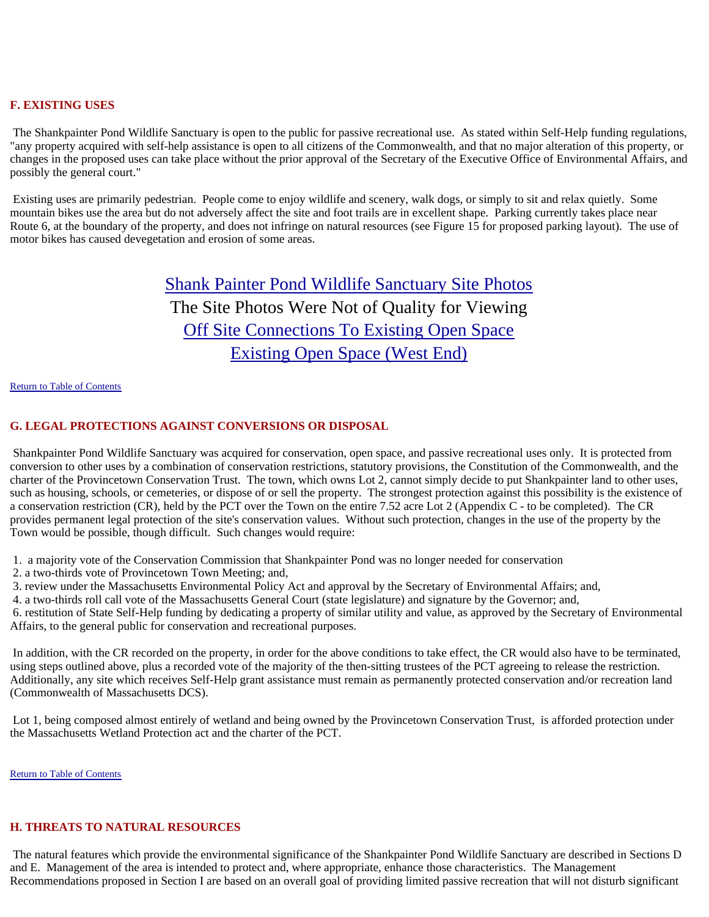### **F. EXISTING USES**

 The Shankpainter Pond Wildlife Sanctuary is open to the public for passive recreational use. As stated within Self-Help funding regulations, "any property acquired with self-help assistance is open to all citizens of the Commonwealth, and that no major alteration of this property, or changes in the proposed uses can take place without the prior approval of the Secretary of the Executive Office of Environmental Affairs, and possibly the general court."

 Existing uses are primarily pedestrian. People come to enjoy wildlife and scenery, walk dogs, or simply to sit and relax quietly. Some mountain bikes use the area but do not adversely affect the site and foot trails are in excellent shape. Parking currently takes place near Route 6, at the boundary of the property, and does not infringe on natural resources (see Figure 15 for proposed parking layout). The use of motor bikes has caused devegetation and erosion of some areas.

# Shank Painter Pond Wildlife Sanctuary Site Photos The Site Photos Were Not of Quality for Viewing Off Site Connections To Existing Open Space Existing Open Space (West End)

### Return to Table of Contents

### **G. LEGAL PROTECTIONS AGAINST CONVERSIONS OR DISPOSAL**

 Shankpainter Pond Wildlife Sanctuary was acquired for conservation, open space, and passive recreational uses only. It is protected from conversion to other uses by a combination of conservation restrictions, statutory provisions, the Constitution of the Commonwealth, and the charter of the Provincetown Conservation Trust. The town, which owns Lot 2, cannot simply decide to put Shankpainter land to other uses, such as housing, schools, or cemeteries, or dispose of or sell the property. The strongest protection against this possibility is the existence of a conservation restriction (CR), held by the PCT over the Town on the entire 7.52 acre Lot 2 (Appendix C - to be completed). The CR provides permanent legal protection of the site's conservation values. Without such protection, changes in the use of the property by the Town would be possible, though difficult. Such changes would require:

- 1. a majority vote of the Conservation Commission that Shankpainter Pond was no longer needed for conservation
- 2. a two-thirds vote of Provincetown Town Meeting; and,
- 3. review under the Massachusetts Environmental Policy Act and approval by the Secretary of Environmental Affairs; and,
- 4. a two-thirds roll call vote of the Massachusetts General Court (state legislature) and signature by the Governor; and,

 6. restitution of State Self-Help funding by dedicating a property of similar utility and value, as approved by the Secretary of Environmental Affairs, to the general public for conservation and recreational purposes.

 In addition, with the CR recorded on the property, in order for the above conditions to take effect, the CR would also have to be terminated, using steps outlined above, plus a recorded vote of the majority of the then-sitting trustees of the PCT agreeing to release the restriction. Additionally, any site which receives Self-Help grant assistance must remain as permanently protected conservation and/or recreation land (Commonwealth of Massachusetts DCS).

 Lot 1, being composed almost entirely of wetland and being owned by the Provincetown Conservation Trust, is afforded protection under the Massachusetts Wetland Protection act and the charter of the PCT.

Return to Table of Contents

### **H. THREATS TO NATURAL RESOURCES**

 The natural features which provide the environmental significance of the Shankpainter Pond Wildlife Sanctuary are described in Sections D and E. Management of the area is intended to protect and, where appropriate, enhance those characteristics. The Management Recommendations proposed in Section I are based on an overall goal of providing limited passive recreation that will not disturb significant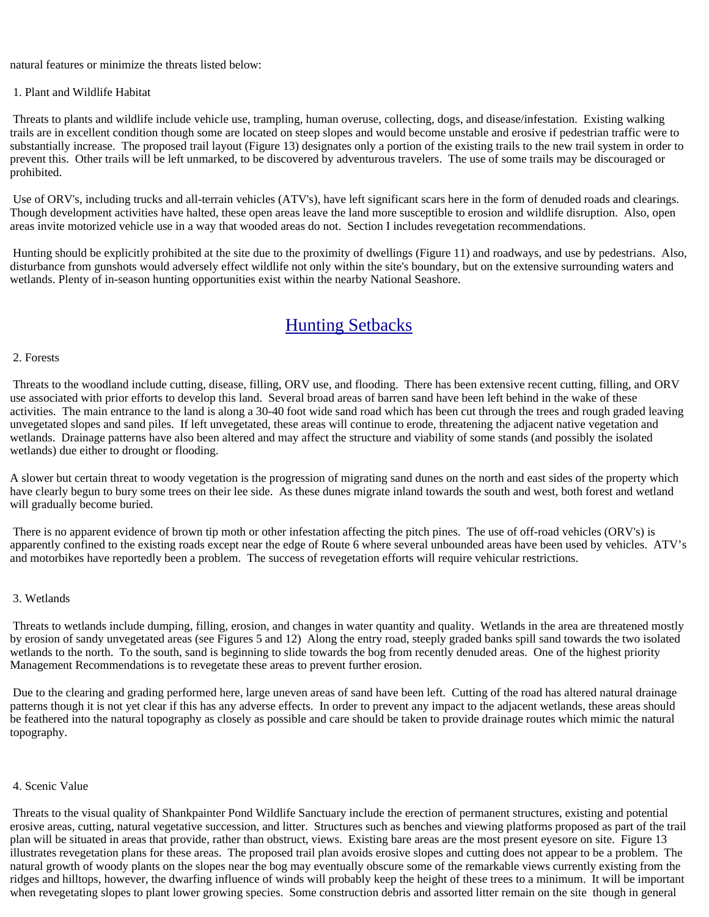natural features or minimize the threats listed below:

### 1. Plant and Wildlife Habitat

 Threats to plants and wildlife include vehicle use, trampling, human overuse, collecting, dogs, and disease/infestation. Existing walking trails are in excellent condition though some are located on steep slopes and would become unstable and erosive if pedestrian traffic were to substantially increase. The proposed trail layout (Figure 13) designates only a portion of the existing trails to the new trail system in order to prevent this. Other trails will be left unmarked, to be discovered by adventurous travelers. The use of some trails may be discouraged or prohibited.

 Use of ORV's, including trucks and all-terrain vehicles (ATV's), have left significant scars here in the form of denuded roads and clearings. Though development activities have halted, these open areas leave the land more susceptible to erosion and wildlife disruption. Also, open areas invite motorized vehicle use in a way that wooded areas do not. Section I includes revegetation recommendations.

 Hunting should be explicitly prohibited at the site due to the proximity of dwellings (Figure 11) and roadways, and use by pedestrians. Also, disturbance from gunshots would adversely effect wildlife not only within the site's boundary, but on the extensive surrounding waters and wetlands. Plenty of in-season hunting opportunities exist within the nearby National Seashore.

### Hunting Setbacks

### 2. Forests

 Threats to the woodland include cutting, disease, filling, ORV use, and flooding. There has been extensive recent cutting, filling, and ORV use associated with prior efforts to develop this land. Several broad areas of barren sand have been left behind in the wake of these activities. The main entrance to the land is along a 30-40 foot wide sand road which has been cut through the trees and rough graded leaving unvegetated slopes and sand piles. If left unvegetated, these areas will continue to erode, threatening the adjacent native vegetation and wetlands. Drainage patterns have also been altered and may affect the structure and viability of some stands (and possibly the isolated wetlands) due either to drought or flooding.

A slower but certain threat to woody vegetation is the progression of migrating sand dunes on the north and east sides of the property which have clearly begun to bury some trees on their lee side. As these dunes migrate inland towards the south and west, both forest and wetland will gradually become buried.

 There is no apparent evidence of brown tip moth or other infestation affecting the pitch pines. The use of off-road vehicles (ORV's) is apparently confined to the existing roads except near the edge of Route 6 where several unbounded areas have been used by vehicles. ATV's and motorbikes have reportedly been a problem. The success of revegetation efforts will require vehicular restrictions.

### 3. Wetlands

 Threats to wetlands include dumping, filling, erosion, and changes in water quantity and quality. Wetlands in the area are threatened mostly by erosion of sandy unvegetated areas (see Figures 5 and 12) Along the entry road, steeply graded banks spill sand towards the two isolated wetlands to the north. To the south, sand is beginning to slide towards the bog from recently denuded areas. One of the highest priority Management Recommendations is to revegetate these areas to prevent further erosion.

 Due to the clearing and grading performed here, large uneven areas of sand have been left. Cutting of the road has altered natural drainage patterns though it is not yet clear if this has any adverse effects. In order to prevent any impact to the adjacent wetlands, these areas should be feathered into the natural topography as closely as possible and care should be taken to provide drainage routes which mimic the natural topography.

### 4. Scenic Value

 Threats to the visual quality of Shankpainter Pond Wildlife Sanctuary include the erection of permanent structures, existing and potential erosive areas, cutting, natural vegetative succession, and litter. Structures such as benches and viewing platforms proposed as part of the trail plan will be situated in areas that provide, rather than obstruct, views. Existing bare areas are the most present eyesore on site. Figure 13 illustrates revegetation plans for these areas. The proposed trail plan avoids erosive slopes and cutting does not appear to be a problem. The natural growth of woody plants on the slopes near the bog may eventually obscure some of the remarkable views currently existing from the ridges and hilltops, however, the dwarfing influence of winds will probably keep the height of these trees to a minimum. It will be important when revegetating slopes to plant lower growing species. Some construction debris and assorted litter remain on the site though in general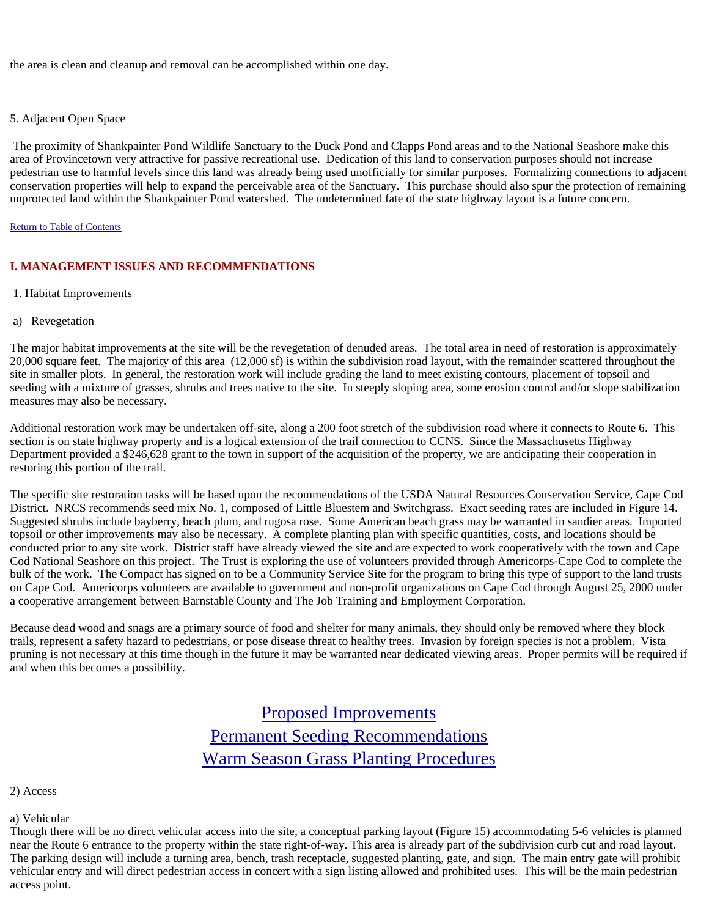the area is clean and cleanup and removal can be accomplished within one day.

### 5. Adjacent Open Space

 The proximity of Shankpainter Pond Wildlife Sanctuary to the Duck Pond and Clapps Pond areas and to the National Seashore make this area of Provincetown very attractive for passive recreational use. Dedication of this land to conservation purposes should not increase pedestrian use to harmful levels since this land was already being used unofficially for similar purposes. Formalizing connections to adjacent conservation properties will help to expand the perceivable area of the Sanctuary. This purchase should also spur the protection of remaining unprotected land within the Shankpainter Pond watershed. The undetermined fate of the state highway layout is a future concern.

### Return to Table of Contents

### **I. MANAGEMENT ISSUES AND RECOMMENDATIONS**

- 1. Habitat Improvements
- a) Revegetation

The major habitat improvements at the site will be the revegetation of denuded areas. The total area in need of restoration is approximately 20,000 square feet. The majority of this area (12,000 sf) is within the subdivision road layout, with the remainder scattered throughout the site in smaller plots. In general, the restoration work will include grading the land to meet existing contours, placement of topsoil and seeding with a mixture of grasses, shrubs and trees native to the site. In steeply sloping area, some erosion control and/or slope stabilization measures may also be necessary.

Additional restoration work may be undertaken off-site, along a 200 foot stretch of the subdivision road where it connects to Route 6. This section is on state highway property and is a logical extension of the trail connection to CCNS. Since the Massachusetts Highway Department provided a \$246,628 grant to the town in support of the acquisition of the property, we are anticipating their cooperation in restoring this portion of the trail.

The specific site restoration tasks will be based upon the recommendations of the USDA Natural Resources Conservation Service, Cape Cod District. NRCS recommends seed mix No. 1, composed of Little Bluestem and Switchgrass. Exact seeding rates are included in Figure 14. Suggested shrubs include bayberry, beach plum, and rugosa rose. Some American beach grass may be warranted in sandier areas. Imported topsoil or other improvements may also be necessary. A complete planting plan with specific quantities, costs, and locations should be conducted prior to any site work. District staff have already viewed the site and are expected to work cooperatively with the town and Cape Cod National Seashore on this project. The Trust is exploring the use of volunteers provided through Americorps-Cape Cod to complete the bulk of the work. The Compact has signed on to be a Community Service Site for the program to bring this type of support to the land trusts on Cape Cod. Americorps volunteers are available to government and non-profit organizations on Cape Cod through August 25, 2000 under a cooperative arrangement between Barnstable County and The Job Training and Employment Corporation.

Because dead wood and snags are a primary source of food and shelter for many animals, they should only be removed where they block trails, represent a safety hazard to pedestrians, or pose disease threat to healthy trees. Invasion by foreign species is not a problem. Vista pruning is not necessary at this time though in the future it may be warranted near dedicated viewing areas. Proper permits will be required if and when this becomes a possibility.

> Proposed Improvements Permanent Seeding Recommendations Warm Season Grass Planting Procedures

2) Access

a) Vehicular

Though there will be no direct vehicular access into the site, a conceptual parking layout (Figure 15) accommodating 5-6 vehicles is planned near the Route 6 entrance to the property within the state right-of-way. This area is already part of the subdivision curb cut and road layout. The parking design will include a turning area, bench, trash receptacle, suggested planting, gate, and sign. The main entry gate will prohibit vehicular entry and will direct pedestrian access in concert with a sign listing allowed and prohibited uses. This will be the main pedestrian access point.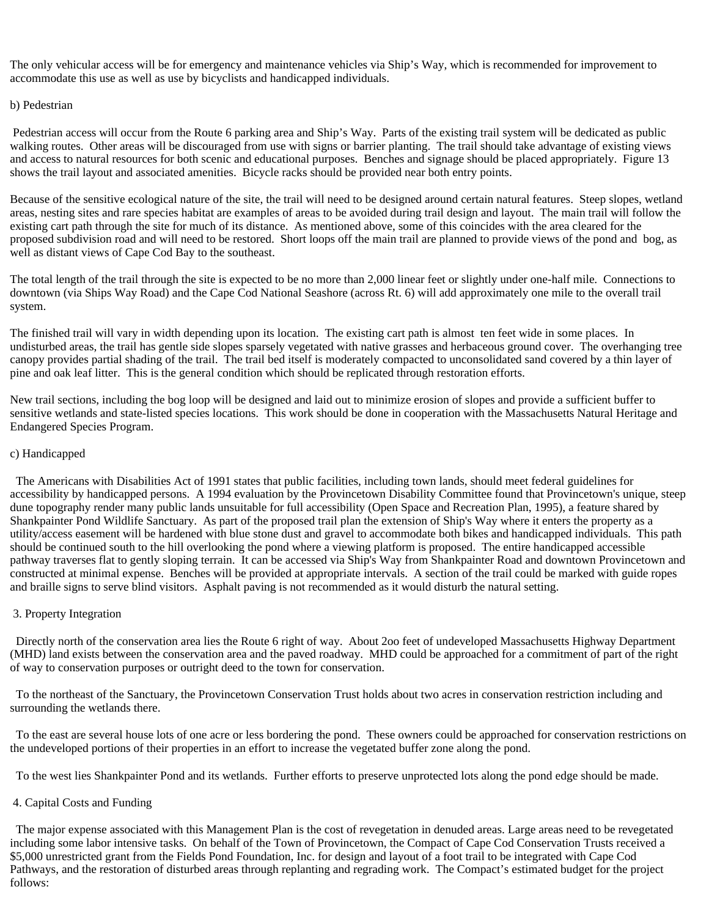The only vehicular access will be for emergency and maintenance vehicles via Ship's Way, which is recommended for improvement to accommodate this use as well as use by bicyclists and handicapped individuals.

### b) Pedestrian

 Pedestrian access will occur from the Route 6 parking area and Ship's Way. Parts of the existing trail system will be dedicated as public walking routes. Other areas will be discouraged from use with signs or barrier planting. The trail should take advantage of existing views and access to natural resources for both scenic and educational purposes. Benches and signage should be placed appropriately. Figure 13 shows the trail layout and associated amenities. Bicycle racks should be provided near both entry points.

Because of the sensitive ecological nature of the site, the trail will need to be designed around certain natural features. Steep slopes, wetland areas, nesting sites and rare species habitat are examples of areas to be avoided during trail design and layout. The main trail will follow the existing cart path through the site for much of its distance. As mentioned above, some of this coincides with the area cleared for the proposed subdivision road and will need to be restored. Short loops off the main trail are planned to provide views of the pond and bog, as well as distant views of Cape Cod Bay to the southeast.

The total length of the trail through the site is expected to be no more than 2,000 linear feet or slightly under one-half mile. Connections to downtown (via Ships Way Road) and the Cape Cod National Seashore (across Rt. 6) will add approximately one mile to the overall trail system.

The finished trail will vary in width depending upon its location. The existing cart path is almost ten feet wide in some places. In undisturbed areas, the trail has gentle side slopes sparsely vegetated with native grasses and herbaceous ground cover. The overhanging tree canopy provides partial shading of the trail. The trail bed itself is moderately compacted to unconsolidated sand covered by a thin layer of pine and oak leaf litter. This is the general condition which should be replicated through restoration efforts.

New trail sections, including the bog loop will be designed and laid out to minimize erosion of slopes and provide a sufficient buffer to sensitive wetlands and state-listed species locations. This work should be done in cooperation with the Massachusetts Natural Heritage and Endangered Species Program.

### c) Handicapped

 The Americans with Disabilities Act of 1991 states that public facilities, including town lands, should meet federal guidelines for accessibility by handicapped persons. A 1994 evaluation by the Provincetown Disability Committee found that Provincetown's unique, steep dune topography render many public lands unsuitable for full accessibility (Open Space and Recreation Plan, 1995), a feature shared by Shankpainter Pond Wildlife Sanctuary. As part of the proposed trail plan the extension of Ship's Way where it enters the property as a utility/access easement will be hardened with blue stone dust and gravel to accommodate both bikes and handicapped individuals. This path should be continued south to the hill overlooking the pond where a viewing platform is proposed. The entire handicapped accessible pathway traverses flat to gently sloping terrain. It can be accessed via Ship's Way from Shankpainter Road and downtown Provincetown and constructed at minimal expense. Benches will be provided at appropriate intervals. A section of the trail could be marked with guide ropes and braille signs to serve blind visitors. Asphalt paving is not recommended as it would disturb the natural setting.

### 3. Property Integration

 Directly north of the conservation area lies the Route 6 right of way. About 2oo feet of undeveloped Massachusetts Highway Department (MHD) land exists between the conservation area and the paved roadway. MHD could be approached for a commitment of part of the right of way to conservation purposes or outright deed to the town for conservation.

 To the northeast of the Sanctuary, the Provincetown Conservation Trust holds about two acres in conservation restriction including and surrounding the wetlands there.

 To the east are several house lots of one acre or less bordering the pond. These owners could be approached for conservation restrictions on the undeveloped portions of their properties in an effort to increase the vegetated buffer zone along the pond.

To the west lies Shankpainter Pond and its wetlands. Further efforts to preserve unprotected lots along the pond edge should be made.

### 4. Capital Costs and Funding

 The major expense associated with this Management Plan is the cost of revegetation in denuded areas. Large areas need to be revegetated including some labor intensive tasks. On behalf of the Town of Provincetown, the Compact of Cape Cod Conservation Trusts received a \$5,000 unrestricted grant from the Fields Pond Foundation, Inc. for design and layout of a foot trail to be integrated with Cape Cod Pathways, and the restoration of disturbed areas through replanting and regrading work. The Compact's estimated budget for the project follows: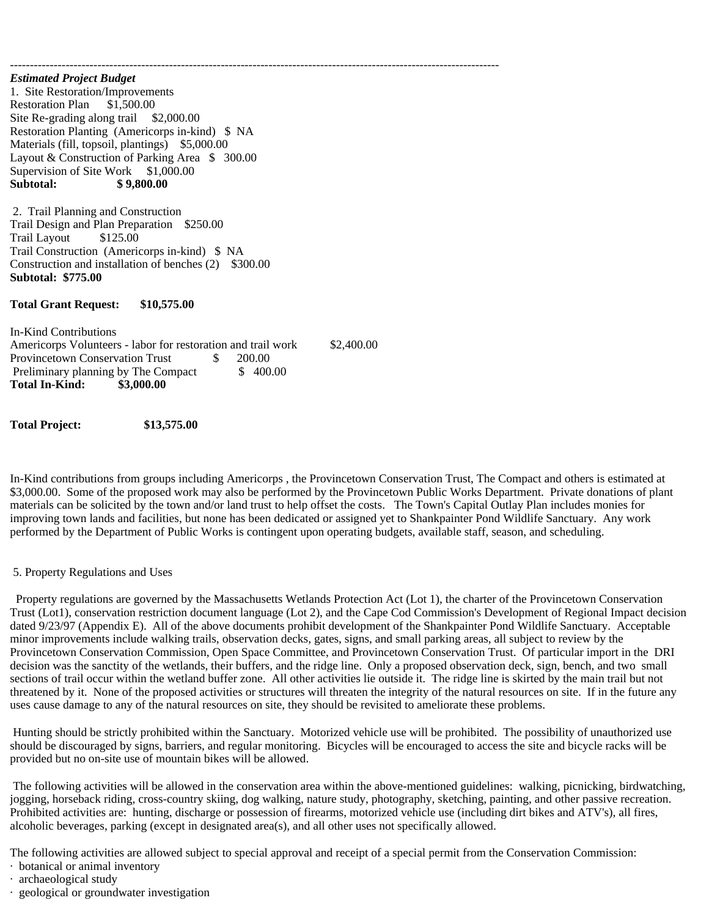*Estimated Project Budget* 1. Site Restoration/Improvements Restoration Plan \$1,500.00 Site Re-grading along trail \$2,000.00 Restoration Planting (Americorps in-kind) \$ NA Materials (fill, topsoil, plantings) \$5,000.00 Layout & Construction of Parking Area \$ 300.00 Supervision of Site Work \$1,000.00<br>Subtotal: \$9,800.00 **Subtotal: \$ 9,800.00**

 2. Trail Planning and Construction Trail Design and Plan Preparation \$250.00 Trail Layout \$125.00 Trail Construction (Americorps in-kind) \$ NA Construction and installation of benches (2) \$300.00 **Subtotal: \$775.00**

### **Total Grant Request: \$10,575.00**

In-Kind Contributions Americorps Volunteers - labor for restoration and trail work \$2,400.00 Provincetown Conservation Trust \$ 200.00 Preliminary planning by The Compact  $\qquad$  \$ 400.00 **Total In-Kind: \$3,000.00**

**Total Project: \$13,575.00**

In-Kind contributions from groups including Americorps , the Provincetown Conservation Trust, The Compact and others is estimated at \$3,000.00. Some of the proposed work may also be performed by the Provincetown Public Works Department. Private donations of plant materials can be solicited by the town and/or land trust to help offset the costs. The Town's Capital Outlay Plan includes monies for improving town lands and facilities, but none has been dedicated or assigned yet to Shankpainter Pond Wildlife Sanctuary. Any work performed by the Department of Public Works is contingent upon operating budgets, available staff, season, and scheduling.

### 5. Property Regulations and Uses

 Property regulations are governed by the Massachusetts Wetlands Protection Act (Lot 1), the charter of the Provincetown Conservation Trust (Lot1), conservation restriction document language (Lot 2), and the Cape Cod Commission's Development of Regional Impact decision dated 9/23/97 (Appendix E). All of the above documents prohibit development of the Shankpainter Pond Wildlife Sanctuary. Acceptable minor improvements include walking trails, observation decks, gates, signs, and small parking areas, all subject to review by the Provincetown Conservation Commission, Open Space Committee, and Provincetown Conservation Trust. Of particular import in the DRI decision was the sanctity of the wetlands, their buffers, and the ridge line. Only a proposed observation deck, sign, bench, and two small sections of trail occur within the wetland buffer zone. All other activities lie outside it. The ridge line is skirted by the main trail but not threatened by it. None of the proposed activities or structures will threaten the integrity of the natural resources on site. If in the future any uses cause damage to any of the natural resources on site, they should be revisited to ameliorate these problems.

 Hunting should be strictly prohibited within the Sanctuary. Motorized vehicle use will be prohibited. The possibility of unauthorized use should be discouraged by signs, barriers, and regular monitoring. Bicycles will be encouraged to access the site and bicycle racks will be provided but no on-site use of mountain bikes will be allowed.

 The following activities will be allowed in the conservation area within the above-mentioned guidelines: walking, picnicking, birdwatching, jogging, horseback riding, cross-country skiing, dog walking, nature study, photography, sketching, painting, and other passive recreation. Prohibited activities are: hunting, discharge or possession of firearms, motorized vehicle use (including dirt bikes and ATV's), all fires, alcoholic beverages, parking (except in designated area(s), and all other uses not specifically allowed.

The following activities are allowed subject to special approval and receipt of a special permit from the Conservation Commission:

- · botanical or animal inventory
- · archaeological study
- · geological or groundwater investigation